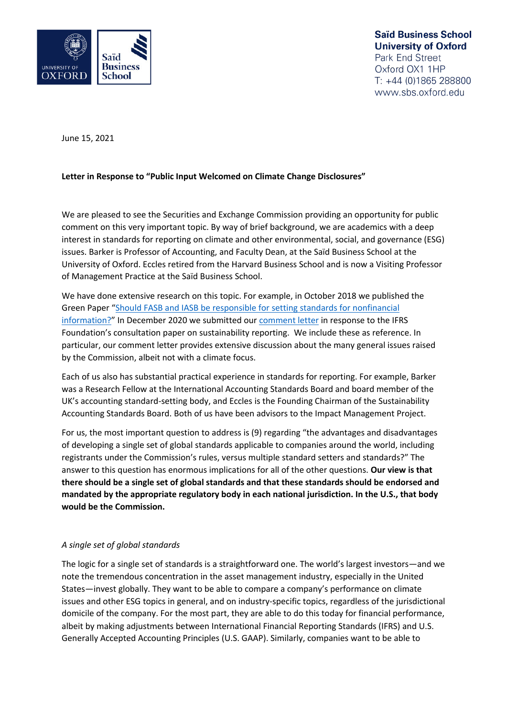

**Saïd Business School University of Oxford** Park End Street Oxford OX1 1HP T: +44 (0)1865 288800 www.sbs.oxford.edu

June 15, 2021

## **Letter in Response to "Public Input Welcomed on Climate Change Disclosures"**

We are pleased to see the Securities and Exchange Commission providing an opportunity for public comment on this very important topic. By way of brief background, we are academics with a deep interest in standards for reporting on climate and other environmental, social, and governance (ESG) issues. Barker is Professor of Accounting, and Faculty Dean, at the Saïd Business School at the University of Oxford. Eccles retired from the Harvard Business School and is now a Visiting Professor of Management Practice at the Saïd Business School.

We have done extensive research on this topic. For example, in October 2018 we published the Green Paper "Should FASB and IASB be responsible for setting standards for nonfinancial information?" In December 2020 we submitted our comment letter in response to the IFRS Foundation's consultation paper on sustainability reporting. We include these as reference. In particular, our comment letter provides extensive discussion about the many general issues raised by the Commission, albeit not with a climate focus.

Each of us also has substantial practical experience in standards for reporting. For example, Barker was a Research Fellow at the International Accounting Standards Board and board member of the UK's accounting standard-setting body, and Eccles is the Founding Chairman of the Sustainability Accounting Standards Board. Both of us have been advisors to the Impact Management Project.

For us, the most important question to address is (9) regarding "the advantages and disadvantages of developing a single set of global standards applicable to companies around the world, including registrants under the Commission's rules, versus multiple standard setters and standards?" The answer to this question has enormous implications for all of the other questions. **Our view is that there should be a single set of global standards and that these standards should be endorsed and mandated by the appropriate regulatory body in each national jurisdiction. In the U.S., that body would be the Commission.**

## *A single set of global standards*

The logic for a single set of standards is a straightforward one. The world's largest investors—and we note the tremendous concentration in the asset management industry, especially in the United States—invest globally. They want to be able to compare a company's performance on climate issues and other ESG topics in general, and on industry-specific topics, regardless of the jurisdictional domicile of the company. For the most part, they are able to do this today for financial performance, albeit by making adjustments between International Financial Reporting Standards (IFRS) and U.S. Generally Accepted Accounting Principles (U.S. GAAP). Similarly, companies want to be able to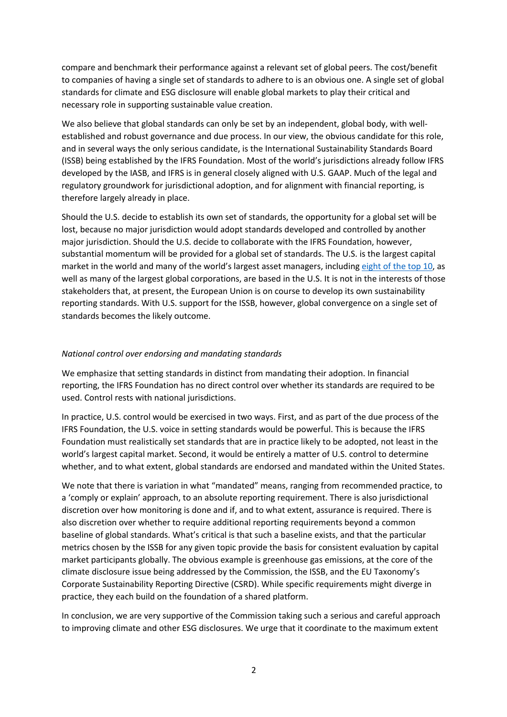compare and benchmark their performance against a relevant set of global peers. The cost/benefit to companies of having a single set of standards to adhere to is an obvious one. A single set of global standards for climate and ESG disclosure will enable global markets to play their critical and necessary role in supporting sustainable value creation.

We also believe that global standards can only be set by an independent, global body, with wellestablished and robust governance and due process. In our view, the obvious candidate for this role, and in several ways the only serious candidate, is the International Sustainability Standards Board (ISSB) being established by the IFRS Foundation. Most of the world's jurisdictions already follow IFRS developed by the IASB, and IFRS is in general closely aligned with U.S. GAAP. Much of the legal and regulatory groundwork for jurisdictional adoption, and for alignment with financial reporting, is therefore largely already in place.

Should the U.S. decide to establish its own set of standards, the opportunity for a global set will be lost, because no major jurisdiction would adopt standards developed and controlled by another major jurisdiction. Should the U.S. decide to collaborate with the IFRS Foundation, however, substantial momentum will be provided for a global set of standards. The U.S. is the largest capital market in the world and many of the world's largest asset managers, including eight of the top 10, as well as many of the largest global corporations, are based in the U.S. It is not in the interests of those stakeholders that, at present, the European Union is on course to develop its own sustainability reporting standards. With U.S. support for the ISSB, however, global convergence on a single set of standards becomes the likely outcome.

## *National control over endorsing and mandating standards*

We emphasize that setting standards in distinct from mandating their adoption. In financial reporting, the IFRS Foundation has no direct control over whether its standards are required to be used. Control rests with national jurisdictions.

In practice, U.S. control would be exercised in two ways. First, and as part of the due process of the IFRS Foundation, the U.S. voice in setting standards would be powerful. This is because the IFRS Foundation must realistically set standards that are in practice likely to be adopted, not least in the world's largest capital market. Second, it would be entirely a matter of U.S. control to determine whether, and to what extent, global standards are endorsed and mandated within the United States.

We note that there is variation in what "mandated" means, ranging from recommended practice, to a 'comply or explain' approach, to an absolute reporting requirement. There is also jurisdictional discretion over how monitoring is done and if, and to what extent, assurance is required. There is also discretion over whether to require additional reporting requirements beyond a common baseline of global standards. What's critical is that such a baseline exists, and that the particular metrics chosen by the ISSB for any given topic provide the basis for consistent evaluation by capital market participants globally. The obvious example is greenhouse gas emissions, at the core of the climate disclosure issue being addressed by the Commission, the ISSB, and the EU Taxonomy's Corporate Sustainability Reporting Directive (CSRD). While specific requirements might diverge in practice, they each build on the foundation of a shared platform.

In conclusion, we are very supportive of the Commission taking such a serious and careful approach to improving climate and other ESG disclosures. We urge that it coordinate to the maximum extent